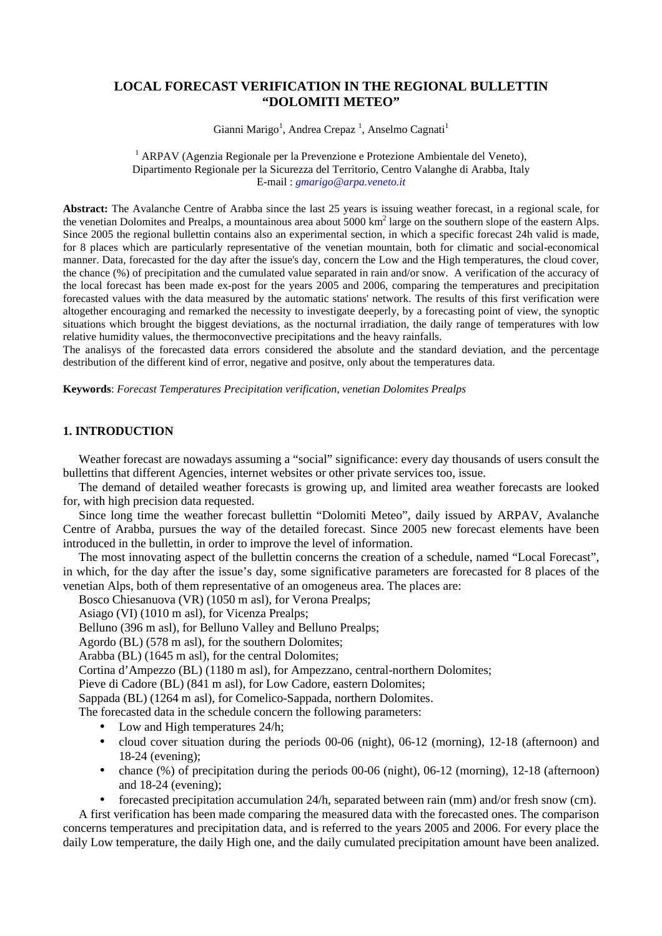# **LOCAL FORECAST VERIFICATION IN THE REGIONAL BULLETTIN "DOLOMITI METEO"**

Gianni Marigo<sup>1</sup>, Andrea Crepaz<sup>1</sup>, Anselmo Cagnati<sup>1</sup>

 $1$  ARPAV (Agenzia Regionale per la Prevenzione e Protezione Ambientale del Veneto), Dipartimento Regionale per la Sicurezza del Territorio, Centro Valanghe di Arabba, Italy E-mail : *gmarigo@arpa.veneto.it*

**Abstract:** The Avalanche Centre of Arabba since the last 25 years is issuing weather forecast, in a regional scale, for the venetian Dolomites and Prealps, a mountainous area about  $5000 \text{ km}^2$  large on the southern slope of the eastern Alps. Since 2005 the regional bullettin contains also an experimental section, in which a specific forecast 24h valid is made, for 8 places which are particularly representative of the venetian mountain, both for climatic and social-economical manner. Data, forecasted for the day after the issue's day, concern the Low and the High temperatures, the cloud cover, the chance (%) of precipitation and the cumulated value separated in rain and/or snow. A verification of the accuracy of the local forecast has been made ex-post for the years 2005 and 2006, comparing the temperatures and precipitation forecasted values with the data measured by the automatic stations' network. The results of this first verification were altogether encouraging and remarked the necessity to investigate deeperly, by a forecasting point of view, the synoptic situations which brought the biggest deviations, as the nocturnal irradiation, the daily range of temperatures with low relative humidity values, the thermoconvective precipitations and the heavy rainfalls.

The analisys of the forecasted data errors considered the absolute and the standard deviation, and the percentage destribution of the different kind of error, negative and positve, only about the temperatures data.

**Keywords**: *Forecast Temperatures Precipitation verification, venetian Dolomites Prealps*

## **1. INTRODUCTION**

Weather forecast are nowadays assuming a "social" significance: every day thousands of users consult the bullettins that different Agencies, internet websites or other private services too, issue.

The demand of detailed weather forecasts is growing up, and limited area weather forecasts are looked for, with high precision data requested.

Since long time the weather forecast bullettin "Dolomiti Meteo", daily issued by ARPAV, Avalanche Centre of Arabba, pursues the way of the detailed forecast. Since 2005 new forecast elements have been introduced in the bullettin, in order to improve the level of information.

The most innovating aspect of the bullettin concerns the creation of a schedule, named "Local Forecast", in which, for the day after the issue's day, some significative parameters are forecasted for 8 places of the venetian Alps, both of them representative of an omogeneus area. The places are:

Bosco Chiesanuova (VR) (1050 m asl), for Verona Prealps;

Asiago (VI) (1010 m asl), for Vicenza Prealps;

Belluno (396 m asl), for Belluno Valley and Belluno Prealps;

Agordo (BL) (578 m asl), for the southern Dolomites;

Arabba (BL) (1645 m asl), for the central Dolomites;

Cortina d'Ampezzo (BL) (1180 m asl), for Ampezzano, central-northern Dolomites;

Pieve di Cadore (BL) (841 m asl), for Low Cadore, eastern Dolomites;

Sappada (BL) (1264 m asl), for Comelico-Sappada, northern Dolomites.

The forecasted data in the schedule concern the following parameters:

- Low and High temperatures 24/h;
- cloud cover situation during the periods 00-06 (night), 06-12 (morning), 12-18 (afternoon) and 18-24 (evening);
- chance (%) of precipitation during the periods 00-06 (night), 06-12 (morning), 12-18 (afternoon) and 18-24 (evening);

• forecasted precipitation accumulation 24/h, separated between rain (mm) and/or fresh snow (cm).

A first verification has been made comparing the measured data with the forecasted ones. The comparison concerns temperatures and precipitation data, and is referred to the years 2005 and 2006. For every place the daily Low temperature, the daily High one, and the daily cumulated precipitation amount have been analized.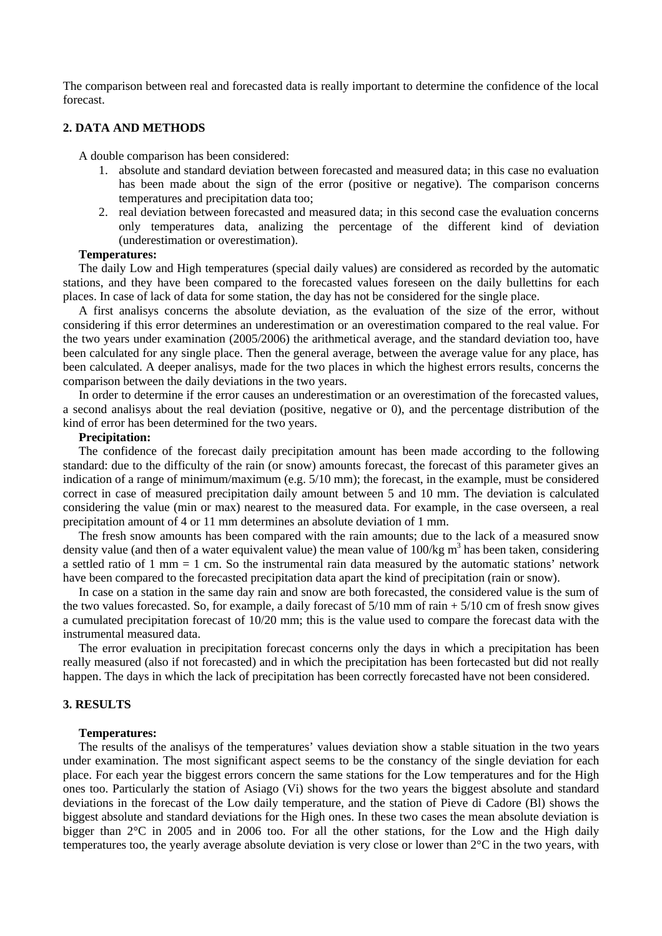The comparison between real and forecasted data is really important to determine the confidence of the local forecast.

### **2. DATA AND METHODS**

A double comparison has been considered:

- 1. absolute and standard deviation between forecasted and measured data; in this case no evaluation has been made about the sign of the error (positive or negative). The comparison concerns temperatures and precipitation data too;
- 2. real deviation between forecasted and measured data; in this second case the evaluation concerns only temperatures data, analizing the percentage of the different kind of deviation (underestimation or overestimation).

#### **Temperatures:**

The daily Low and High temperatures (special daily values) are considered as recorded by the automatic stations, and they have been compared to the forecasted values foreseen on the daily bullettins for each places. In case of lack of data for some station, the day has not be considered for the single place.

A first analisys concerns the absolute deviation, as the evaluation of the size of the error, without considering if this error determines an underestimation or an overestimation compared to the real value. For the two years under examination (2005/2006) the arithmetical average, and the standard deviation too, have been calculated for any single place. Then the general average, between the average value for any place, has been calculated. A deeper analisys, made for the two places in which the highest errors results, concerns the comparison between the daily deviations in the two years.

In order to determine if the error causes an underestimation or an overestimation of the forecasted values, a second analisys about the real deviation (positive, negative or 0), and the percentage distribution of the kind of error has been determined for the two years.

### **Precipitation:**

The confidence of the forecast daily precipitation amount has been made according to the following standard: due to the difficulty of the rain (or snow) amounts forecast, the forecast of this parameter gives an indication of a range of minimum/maximum (e.g. 5/10 mm); the forecast, in the example, must be considered correct in case of measured precipitation daily amount between 5 and 10 mm. The deviation is calculated considering the value (min or max) nearest to the measured data. For example, in the case overseen, a real precipitation amount of 4 or 11 mm determines an absolute deviation of 1 mm.

The fresh snow amounts has been compared with the rain amounts; due to the lack of a measured snow density value (and then of a water equivalent value) the mean value of  $100/kg \text{ m}^3$  has been taken, considering a settled ratio of 1 mm = 1 cm. So the instrumental rain data measured by the automatic stations' network have been compared to the forecasted precipitation data apart the kind of precipitation (rain or snow).

In case on a station in the same day rain and snow are both forecasted, the considered value is the sum of the two values forecasted. So, for example, a daily forecast of  $5/10$  mm of rain  $+5/10$  cm of fresh snow gives a cumulated precipitation forecast of 10/20 mm; this is the value used to compare the forecast data with the instrumental measured data.

The error evaluation in precipitation forecast concerns only the days in which a precipitation has been really measured (also if not forecasted) and in which the precipitation has been fortecasted but did not really happen. The days in which the lack of precipitation has been correctly forecasted have not been considered.

### **3. RESULTS**

#### **Temperatures:**

The results of the analisys of the temperatures' values deviation show a stable situation in the two years under examination. The most significant aspect seems to be the constancy of the single deviation for each place. For each year the biggest errors concern the same stations for the Low temperatures and for the High ones too. Particularly the station of Asiago (Vi) shows for the two years the biggest absolute and standard deviations in the forecast of the Low daily temperature, and the station of Pieve di Cadore (Bl) shows the biggest absolute and standard deviations for the High ones. In these two cases the mean absolute deviation is bigger than 2°C in 2005 and in 2006 too. For all the other stations, for the Low and the High daily temperatures too, the yearly average absolute deviation is very close or lower than 2°C in the two years, with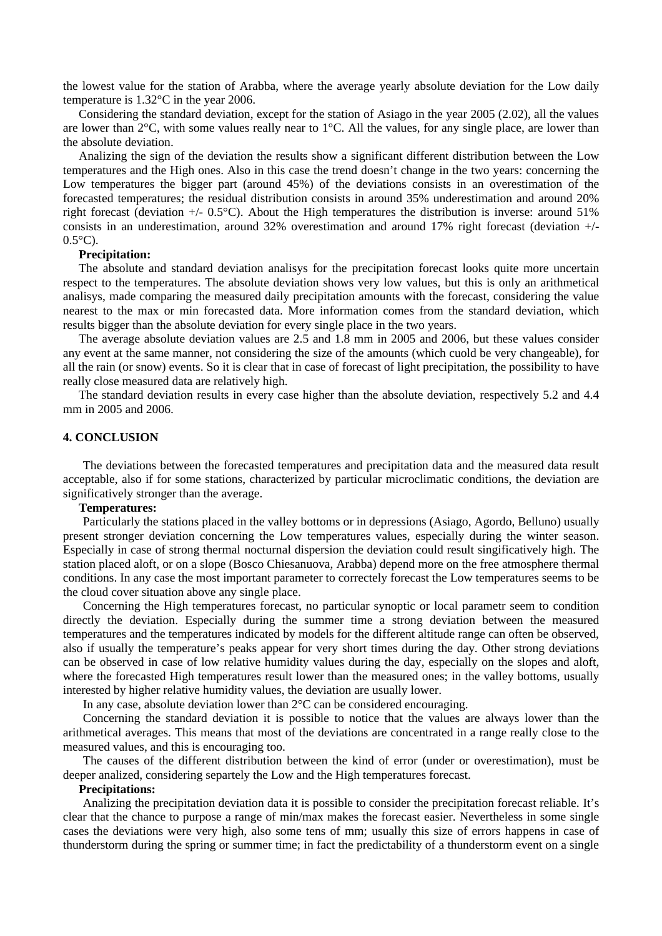the lowest value for the station of Arabba, where the average yearly absolute deviation for the Low daily temperature is 1.32°C in the year 2006.

Considering the standard deviation, except for the station of Asiago in the year 2005 (2.02), all the values are lower than 2°C, with some values really near to 1°C. All the values, for any single place, are lower than the absolute deviation.

Analizing the sign of the deviation the results show a significant different distribution between the Low temperatures and the High ones. Also in this case the trend doesn't change in the two years: concerning the Low temperatures the bigger part (around 45%) of the deviations consists in an overestimation of the forecasted temperatures; the residual distribution consists in around 35% underestimation and around 20% right forecast (deviation +/- 0.5°C). About the High temperatures the distribution is inverse: around 51% consists in an underestimation, around 32% overestimation and around 17% right forecast (deviation +/-  $0.5^{\circ}$ C).

### **Precipitation:**

The absolute and standard deviation analisys for the precipitation forecast looks quite more uncertain respect to the temperatures. The absolute deviation shows very low values, but this is only an arithmetical analisys, made comparing the measured daily precipitation amounts with the forecast, considering the value nearest to the max or min forecasted data. More information comes from the standard deviation, which results bigger than the absolute deviation for every single place in the two years.

The average absolute deviation values are 2.5 and 1.8 mm in 2005 and 2006, but these values consider any event at the same manner, not considering the size of the amounts (which cuold be very changeable), for all the rain (or snow) events. So it is clear that in case of forecast of light precipitation, the possibility to have really close measured data are relatively high.

The standard deviation results in every case higher than the absolute deviation, respectively 5.2 and 4.4 mm in 2005 and 2006.

### **4. CONCLUSION**

The deviations between the forecasted temperatures and precipitation data and the measured data result acceptable, also if for some stations, characterized by particular microclimatic conditions, the deviation are significatively stronger than the average.

## **Temperatures:**

Particularly the stations placed in the valley bottoms or in depressions (Asiago, Agordo, Belluno) usually present stronger deviation concerning the Low temperatures values, especially during the winter season. Especially in case of strong thermal nocturnal dispersion the deviation could result singificatively high. The station placed aloft, or on a slope (Bosco Chiesanuova, Arabba) depend more on the free atmosphere thermal conditions. In any case the most important parameter to correctely forecast the Low temperatures seems to be the cloud cover situation above any single place.

Concerning the High temperatures forecast, no particular synoptic or local parametr seem to condition directly the deviation. Especially during the summer time a strong deviation between the measured temperatures and the temperatures indicated by models for the different altitude range can often be observed, also if usually the temperature's peaks appear for very short times during the day. Other strong deviations can be observed in case of low relative humidity values during the day, especially on the slopes and aloft, where the forecasted High temperatures result lower than the measured ones; in the valley bottoms, usually interested by higher relative humidity values, the deviation are usually lower.

In any case, absolute deviation lower than 2°C can be considered encouraging.

Concerning the standard deviation it is possible to notice that the values are always lower than the arithmetical averages. This means that most of the deviations are concentrated in a range really close to the measured values, and this is encouraging too.

The causes of the different distribution between the kind of error (under or overestimation), must be deeper analized, considering separtely the Low and the High temperatures forecast.

#### **Precipitations:**

Analizing the precipitation deviation data it is possible to consider the precipitation forecast reliable. It's clear that the chance to purpose a range of min/max makes the forecast easier. Nevertheless in some single cases the deviations were very high, also some tens of mm; usually this size of errors happens in case of thunderstorm during the spring or summer time; in fact the predictability of a thunderstorm event on a single